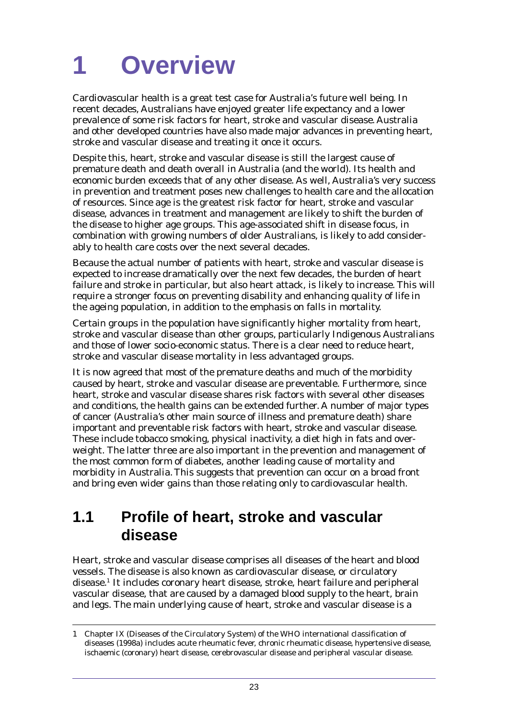Cardiovascular health is a great test case for Australia's future well being. In recent decades, Australians have enjoyed greater life expectancy and a lower prevalence of some risk factors for heart, stroke and vascular disease. Australia and other developed countries have also made major advances in preventing heart, stroke and vascular disease and treating it once it occurs.

Despite this, heart, stroke and vascular disease is still the largest cause of premature death and death overall in Australia (and the world). Its health and economic burden exceeds that of any other disease. As well, Australia's very success in prevention and treatment poses new challenges to health care and the allocation of resources. Since age is the greatest risk factor for heart, stroke and vascular disease, advances in treatment and management are likely to shift the burden of the disease to higher age groups. This age-associated shift in disease focus, in combination with growing numbers of older Australians, is likely to add considerably to health care costs over the next several decades.

Because the actual number of patients with heart, stroke and vascular disease is expected to increase dramatically over the next few decades, the burden of heart failure and stroke in particular, but also heart attack, is likely to increase. This will require a stronger focus on preventing disability and enhancing quality of life in the ageing population, in addition to the emphasis on falls in mortality.

Certain groups in the population have significantly higher mortality from heart, stroke and vascular disease than other groups, particularly Indigenous Australians and those of lower socio-economic status. There is a clear need to reduce heart, stroke and vascular disease mortality in less advantaged groups.

It is now agreed that most of the premature deaths and much of the morbidity caused by heart, stroke and vascular disease are preventable. Furthermore, since heart, stroke and vascular disease shares risk factors with several other diseases and conditions, the health gains can be extended further. A number of major types of cancer (Australia's other main source of illness and premature death) share important and preventable risk factors with heart, stroke and vascular disease. These include tobacco smoking, physical inactivity, a diet high in fats and overweight. The latter three are also important in the prevention and management of the most common form of diabetes, another leading cause of mortality and morbidity in Australia. This suggests that prevention can occur on a broad front and bring even wider gains than those relating only to cardiovascular health.

# **1.1 Profile of heart, stroke and vascular disease**

Heart, stroke and vascular disease comprises all diseases of the heart and blood vessels. The disease is also known as cardiovascular disease, or circulatory disease.1 It includes coronary heart disease, stroke, heart failure and peripheral vascular disease, that are caused by a damaged blood supply to the heart, brain and legs. The main underlying cause of heart, stroke and vascular disease is a

<sup>1</sup> Chapter IX (Diseases of the Circulatory System) of the WHO international classification of diseases (1998a) includes acute rheumatic fever, chronic rheumatic disease, hypertensive disease, ischaemic (coronary) heart disease, cerebrovascular disease and peripheral vascular disease.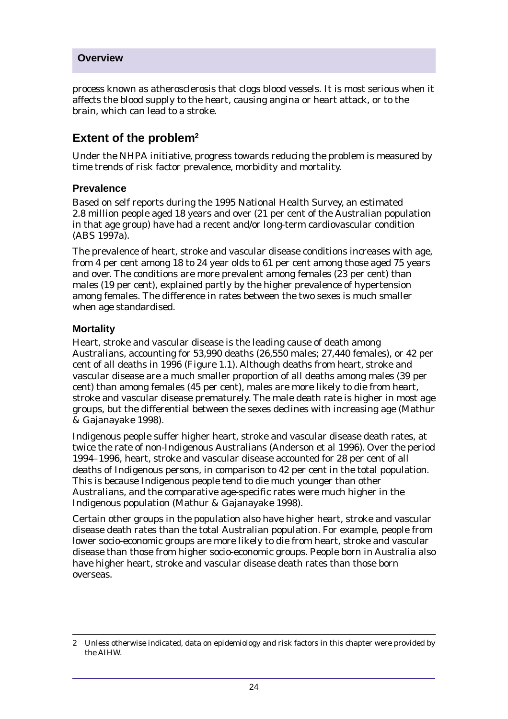process known as atherosclerosis that clogs blood vessels. It is most serious when it affects the blood supply to the heart, causing angina or heart attack, or to the brain, which can lead to a stroke.

# **Extent of the problem2**

Under the NHPA initiative, progress towards reducing the problem is measured by time trends of risk factor prevalence, morbidity and mortality.

#### **Prevalence**

Based on self reports during the 1995 National Health Survey, an estimated 2.8 million people aged 18 years and over (21 per cent of the Australian population in that age group) have had a recent and/or long-term cardiovascular condition (ABS 1997a).

The prevalence of heart, stroke and vascular disease conditions increases with age, from 4 per cent among 18 to 24 year olds to 61 per cent among those aged 75 years and over. The conditions are more prevalent among females (23 per cent) than males (19 per cent), explained partly by the higher prevalence of hypertension among females. The difference in rates between the two sexes is much smaller when age standardised.

#### **Mortality**

Heart, stroke and vascular disease is the leading cause of death among Australians, accounting for 53,990 deaths (26,550 males; 27,440 females), or 42 per cent of all deaths in 1996 (Figure 1.1). Although deaths from heart, stroke and vascular disease are a much smaller proportion of all deaths among males (39 per cent) than among females (45 per cent), males are more likely to die from heart, stroke and vascular disease prematurely. The male death rate is higher in most age groups, but the differential between the sexes declines with increasing age (Mathur & Gajanayake 1998).

Indigenous people suffer higher heart, stroke and vascular disease death rates, at twice the rate of non-Indigenous Australians (Anderson et al 1996). Over the period 1994–1996, heart, stroke and vascular disease accounted for 28 per cent of all deaths of Indigenous persons, in comparison to 42 per cent in the total population. This is because Indigenous people tend to die much younger than other Australians, and the comparative age-specific rates were much higher in the Indigenous population (Mathur & Gajanayake 1998).

Certain other groups in the population also have higher heart, stroke and vascular disease death rates than the total Australian population. For example, people from lower socio-economic groups are more likely to die from heart, stroke and vascular disease than those from higher socio-economic groups. People born in Australia also have higher heart, stroke and vascular disease death rates than those born overseas.

<sup>2</sup> Unless otherwise indicated, data on epidemiology and risk factors in this chapter were provided by the AIHW.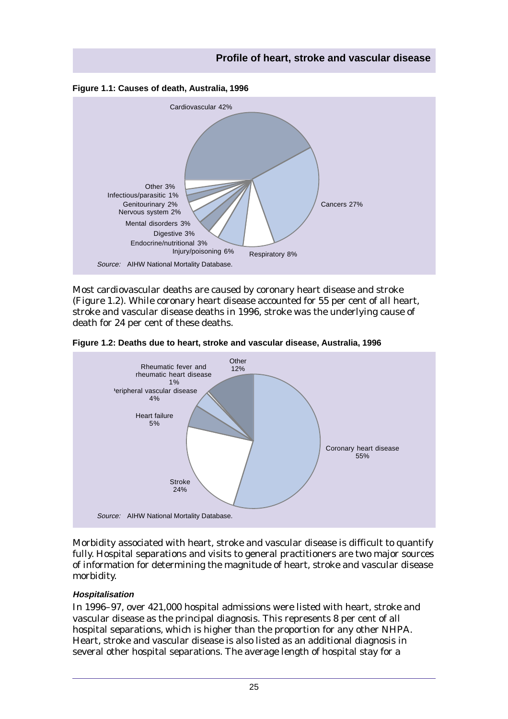



Most cardiovascular deaths are caused by coronary heart disease and stroke (Figure 1.2). While coronary heart disease accounted for 55 per cent of all heart, stroke and vascular disease deaths in 1996, stroke was the underlying cause of death for 24 per cent of these deaths.



**Figure 1.2: Deaths due to heart, stroke and vascular disease, Australia, 1996**

Morbidity associated with heart, stroke and vascular disease is difficult to quantify fully. Hospital separations and visits to general practitioners are two major sources of information for determining the magnitude of heart, stroke and vascular disease morbidity.

#### **Hospitalisation**

In 1996–97, over 421,000 hospital admissions were listed with heart, stroke and vascular disease as the principal diagnosis. This represents 8 per cent of all hospital separations, which is higher than the proportion for any other NHPA. Heart, stroke and vascular disease is also listed as an additional diagnosis in several other hospital separations. The average length of hospital stay for a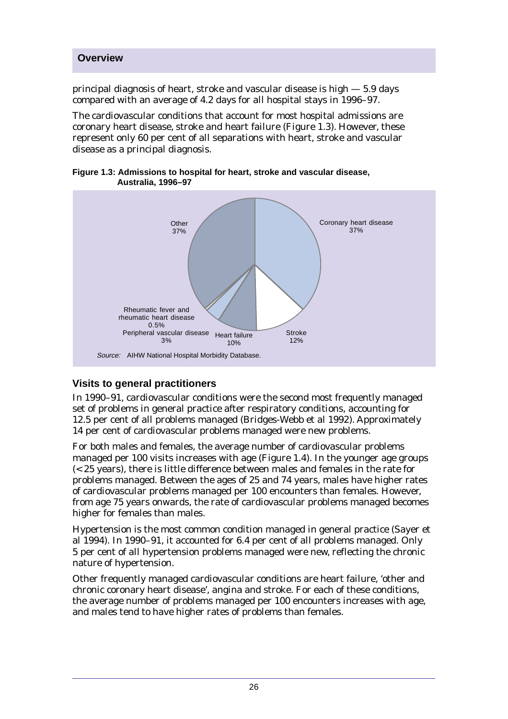principal diagnosis of heart, stroke and vascular disease is high — 5.9 days compared with an average of 4.2 days for all hospital stays in 1996–97.

The cardiovascular conditions that account for most hospital admissions are coronary heart disease, stroke and heart failure (Figure 1.3). However, these represent only 60 per cent of all separations with heart, stroke and vascular disease as a principal diagnosis.

**Figure 1.3: Admissions to hospital for heart, stroke and vascular disease, Australia, 1996–97**



#### **Visits to general practitioners**

In 1990–91, cardiovascular conditions were the second most frequently managed set of problems in general practice after respiratory conditions, accounting for 12.5 per cent of all problems managed (Bridges-Webb et al 1992). Approximately 14 per cent of cardiovascular problems managed were new problems.

For both males and females, the average number of cardiovascular problems managed per 100 visits increases with age (Figure 1.4). In the younger age groups (< 25 years), there is little difference between males and females in the rate for problems managed. Between the ages of 25 and 74 years, males have higher rates of cardiovascular problems managed per 100 encounters than females. However, from age 75 years onwards, the rate of cardiovascular problems managed becomes higher for females than males.

Hypertension is the most common condition managed in general practice (Sayer et al 1994). In 1990–91, it accounted for 6.4 per cent of all problems managed. Only 5 per cent of all hypertension problems managed were new, reflecting the chronic nature of hypertension.

Other frequently managed cardiovascular conditions are heart failure, 'other and chronic coronary heart disease', angina and stroke. For each of these conditions, the average number of problems managed per 100 encounters increases with age, and males tend to have higher rates of problems than females.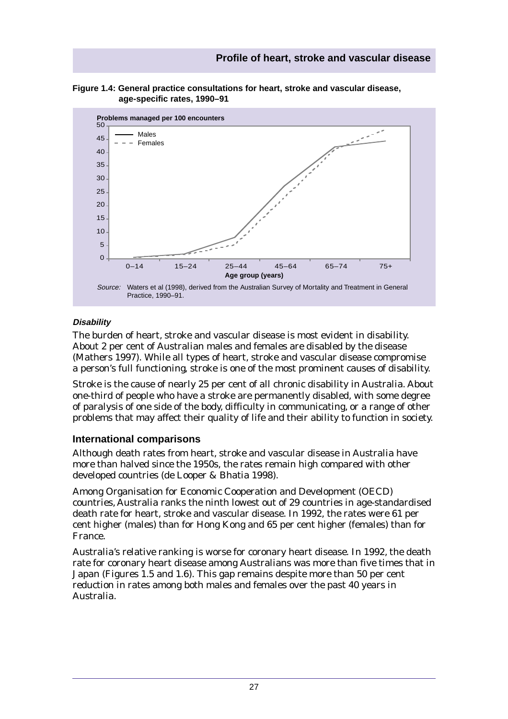



#### **Disability**

The burden of heart, stroke and vascular disease is most evident in disability. About 2 per cent of Australian males and females are disabled by the disease (Mathers 1997). While all types of heart, stroke and vascular disease compromise a person's full functioning, stroke is one of the most prominent causes of disability.

Stroke is the cause of nearly 25 per cent of all chronic disability in Australia. About one-third of people who have a stroke are permanently disabled, with some degree of paralysis of one side of the body, difficulty in communicating, or a range of other problems that may affect their quality of life and their ability to function in society.

#### **International comparisons**

Although death rates from heart, stroke and vascular disease in Australia have more than halved since the 1950s, the rates remain high compared with other developed countries (de Looper & Bhatia 1998).

Among Organisation for Economic Cooperation and Development (OECD) countries, Australia ranks the ninth lowest out of 29 countries in age-standardised death rate for heart, stroke and vascular disease. In 1992, the rates were 61 per cent higher (males) than for Hong Kong and 65 per cent higher (females) than for France.

Australia's relative ranking is worse for coronary heart disease. In 1992, the death rate for coronary heart disease among Australians was more than five times that in Japan (Figures 1.5 and 1.6). This gap remains despite more than 50 per cent reduction in rates among both males and females over the past 40 years in Australia.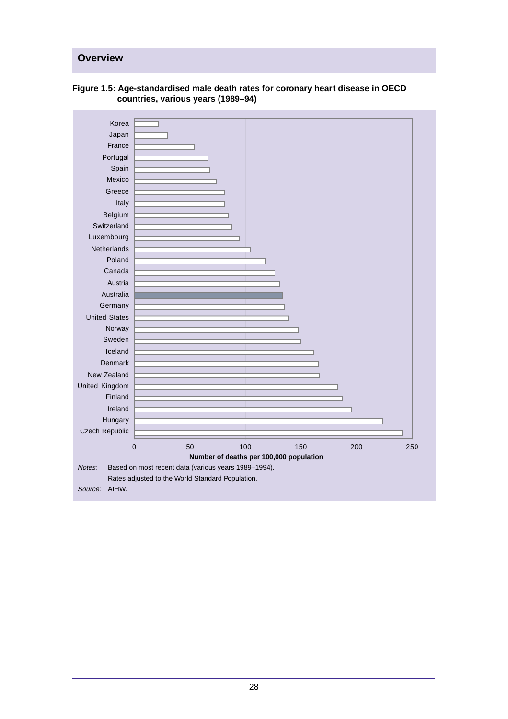

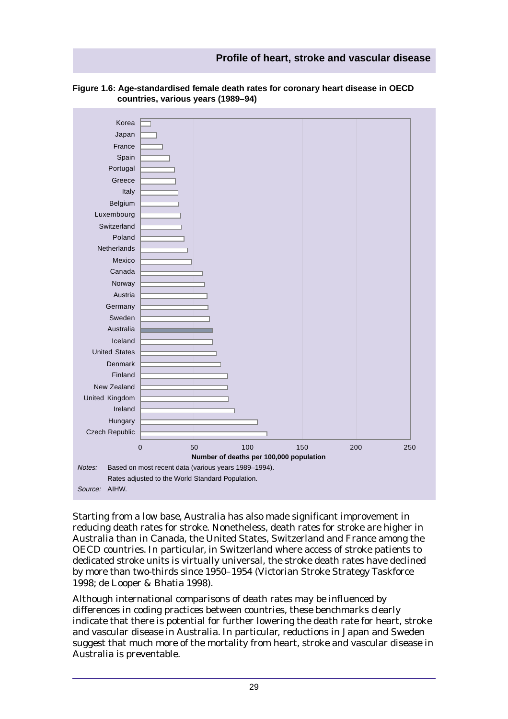#### **Profile of heart, stroke and vascular disease**



#### **Figure 1.6: Age-standardised female death rates for coronary heart disease in OECD countries, various years (1989–94)**

Starting from a low base, Australia has also made significant improvement in reducing death rates for stroke. Nonetheless, death rates for stroke are higher in Australia than in Canada, the United States, Switzerland and France among the OECD countries. In particular, in Switzerland where access of stroke patients to dedicated stroke units is virtually universal, the stroke death rates have declined by more than two-thirds since 1950–1954 (Victorian Stroke Strategy Taskforce 1998; de Looper & Bhatia 1998).

Although international comparisons of death rates may be influenced by differences in coding practices between countries, these benchmarks clearly indicate that there is potential for further lowering the death rate for heart, stroke and vascular disease in Australia. In particular, reductions in Japan and Sweden suggest that much more of the mortality from heart, stroke and vascular disease in Australia is preventable.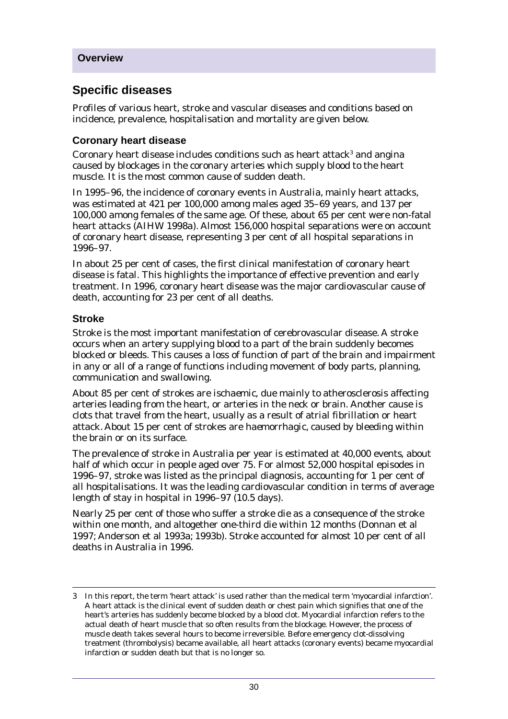## **Specific diseases**

Profiles of various heart, stroke and vascular diseases and conditions based on incidence, prevalence, hospitalisation and mortality are given below.

#### **Coronary heart disease**

Coronary heart disease includes conditions such as heart attack<sup>3</sup> and angina caused by blockages in the coronary arteries which supply blood to the heart muscle. It is the most common cause of sudden death.

In 1995–96, the incidence of coronary events in Australia, mainly heart attacks, was estimated at 421 per 100,000 among males aged 35–69 years, and 137 per 100,000 among females of the same age. Of these, about 65 per cent were non-fatal heart attacks (AIHW 1998a). Almost 156,000 hospital separations were on account of coronary heart disease, representing 3 per cent of all hospital separations in 1996–97.

In about 25 per cent of cases, the first clinical manifestation of coronary heart disease is fatal. This highlights the importance of effective prevention and early treatment. In 1996, coronary heart disease was the major cardiovascular cause of death, accounting for 23 per cent of all deaths.

#### **Stroke**

Stroke is the most important manifestation of cerebrovascular disease. A stroke occurs when an artery supplying blood to a part of the brain suddenly becomes blocked or bleeds. This causes a loss of function of part of the brain and impairment in any or all of a range of functions including movement of body parts, planning, communication and swallowing.

About 85 per cent of strokes are *ischaemic*, due mainly to atherosclerosis affecting arteries leading from the heart, or arteries in the neck or brain. Another cause is clots that travel from the heart, usually as a result of atrial fibrillation or heart attack. About 15 per cent of strokes are *haemorrhagic*, caused by bleeding within the brain or on its surface.

The prevalence of stroke in Australia per year is estimated at 40,000 events, about half of which occur in people aged over 75. For almost 52,000 hospital episodes in 1996–97, stroke was listed as the principal diagnosis, accounting for 1 per cent of all hospitalisations. It was the leading cardiovascular condition in terms of average length of stay in hospital in 1996–97 (10.5 days).

Nearly 25 per cent of those who suffer a stroke die as a consequence of the stroke within one month, and altogether one-third die within 12 months (Donnan et al 1997; Anderson et al 1993a; 1993b). Stroke accounted for almost 10 per cent of all deaths in Australia in 1996.

<sup>3</sup> In this report, the term 'heart attack' is used rather than the medical term 'myocardial infarction'. A heart attack is the clinical event of sudden death or chest pain which signifies that one of the heart's arteries has suddenly become blocked by a blood clot. Myocardial infarction refers to the actual death of heart muscle that so often results from the blockage. However, the process of muscle death takes several hours to become irreversible. Before emergency clot-dissolving treatment (thrombolysis) became available, all heart attacks (coronary events) became myocardial infarction or sudden death but that is no longer so.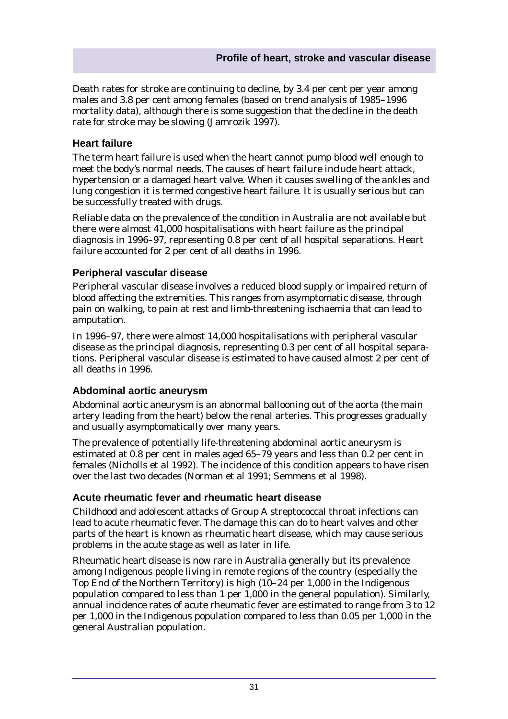Death rates for stroke are continuing to decline, by 3.4 per cent per year among males and 3.8 per cent among females (based on trend analysis of 1985–1996 mortality data), although there is some suggestion that the decline in the death rate for stroke may be slowing (Jamrozik 1997).

#### **Heart failure**

The term heart failure is used when the heart cannot pump blood well enough to meet the body's normal needs. The causes of heart failure include heart attack, hypertension or a damaged heart valve. When it causes swelling of the ankles and lung congestion it is termed congestive heart failure. It is usually serious but can be successfully treated with drugs.

Reliable data on the prevalence of the condition in Australia are not available but there were almost 41,000 hospitalisations with heart failure as the principal diagnosis in 1996–97, representing 0.8 per cent of all hospital separations. Heart failure accounted for 2 per cent of all deaths in 1996.

#### **Peripheral vascular disease**

Peripheral vascular disease involves a reduced blood supply or impaired return of blood affecting the extremities. This ranges from asymptomatic disease, through pain on walking, to pain at rest and limb-threatening ischaemia that can lead to amputation.

In 1996–97, there were almost 14,000 hospitalisations with peripheral vascular disease as the principal diagnosis, representing 0.3 per cent of all hospital separations. Peripheral vascular disease is estimated to have caused almost 2 per cent of all deaths in 1996.

#### **Abdominal aortic aneurysm**

Abdominal aortic aneurysm is an abnormal ballooning out of the aorta (the main artery leading from the heart) below the renal arteries. This progresses gradually and usually asymptomatically over many years.

The prevalence of potentially life-threatening abdominal aortic aneurysm is estimated at 0.8 per cent in males aged 65–79 years and less than 0.2 per cent in females (Nicholls et al 1992). The incidence of this condition appears to have risen over the last two decades (Norman et al 1991; Semmens et al 1998).

#### **Acute rheumatic fever and rheumatic heart disease**

Childhood and adolescent attacks of Group A streptococcal throat infections can lead to acute rheumatic fever. The damage this can do to heart valves and other parts of the heart is known as rheumatic heart disease, which may cause serious problems in the acute stage as well as later in life.

Rheumatic heart disease is now rare in Australia generally but its prevalence among Indigenous people living in remote regions of the country (especially the Top End of the Northern Territory) is high (10–24 per 1,000 in the Indigenous population compared to less than 1 per 1,000 in the general population). Similarly, annual incidence rates of acute rheumatic fever are estimated to range from 3 to 12 per 1,000 in the Indigenous population compared to less than 0.05 per 1,000 in the general Australian population.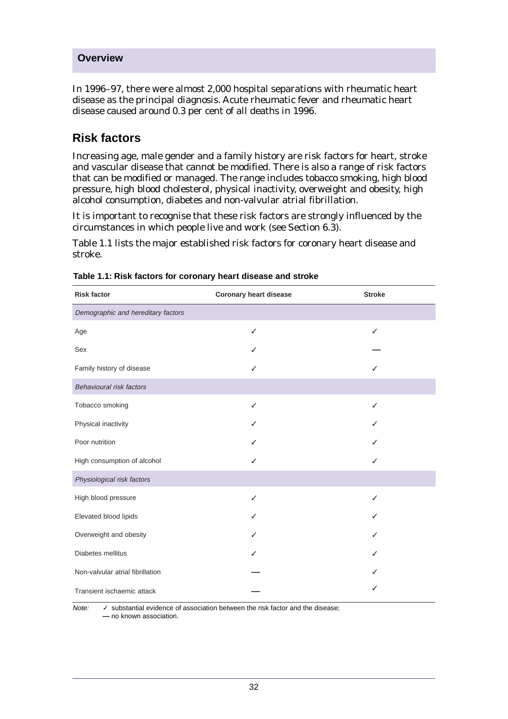In 1996–97, there were almost 2,000 hospital separations with rheumatic heart disease as the principal diagnosis. Acute rheumatic fever and rheumatic heart disease caused around 0.3 per cent of all deaths in 1996.

## **Risk factors**

Increasing age, male gender and a family history are risk factors for heart, stroke and vascular disease that cannot be modified. There is also a range of risk factors that can be modified or managed. The range includes tobacco smoking, high blood pressure, high blood cholesterol, physical inactivity, overweight and obesity, high alcohol consumption, diabetes and non-valvular atrial fibrillation.

It is important to recognise that these risk factors are strongly influenced by the circumstances in which people live and work (see Section 6.3).

Table 1.1 lists the major established risk factors for coronary heart disease and stroke.

| <b>Risk factor</b>                 | <b>Coronary heart disease</b> | <b>Stroke</b> |
|------------------------------------|-------------------------------|---------------|
| Demographic and hereditary factors |                               |               |
| Age                                | ✓                             | ✓             |
| Sex                                |                               |               |
| Family history of disease          |                               |               |
| Behavioural risk factors           |                               |               |
| Tobacco smoking                    | ✓                             | ✓             |
| Physical inactivity                |                               |               |
| Poor nutrition                     |                               |               |
| High consumption of alcohol        |                               |               |
| Physiological risk factors         |                               |               |
| High blood pressure                | $\overline{\mathcal{L}}$      |               |
| Elevated blood lipids              |                               |               |
| Overweight and obesity             |                               |               |
| Diabetes mellitus                  |                               |               |
| Non-valvular atrial fibrillation   |                               |               |
| Transient ischaemic attack         |                               |               |

Note: √ substantial evidence of association between the risk factor and the disease; **—** no known association.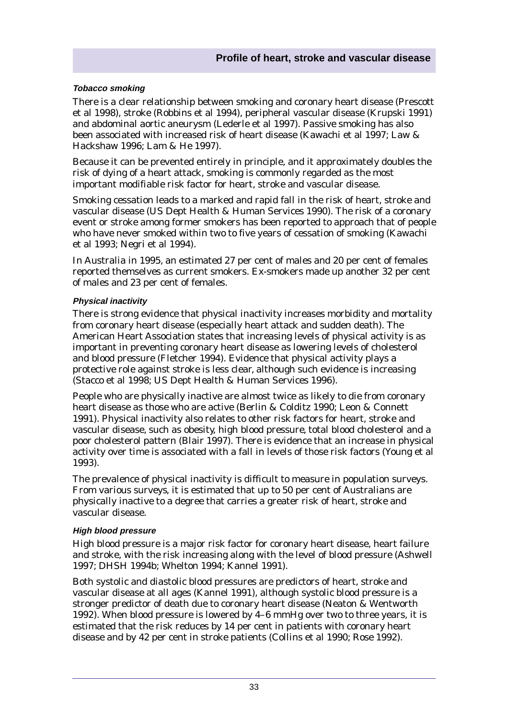#### **Tobacco smoking**

There is a clear relationship between smoking and coronary heart disease (Prescott et al 1998), stroke (Robbins et al 1994), peripheral vascular disease (Krupski 1991) and abdominal aortic aneurysm (Lederle et al 1997). Passive smoking has also been associated with increased risk of heart disease (Kawachi et al 1997; Law & Hackshaw 1996; Lam & He 1997).

Because it can be prevented entirely in principle, and it approximately doubles the risk of dying of a heart attack, smoking is commonly regarded as the most important modifiable risk factor for heart, stroke and vascular disease.

Smoking cessation leads to a marked and rapid fall in the risk of heart, stroke and vascular disease (US Dept Health & Human Services 1990). The risk of a coronary event or stroke among former smokers has been reported to approach that of people who have never smoked within two to five years of cessation of smoking (Kawachi et al 1993; Negri et al 1994).

In Australia in 1995, an estimated 27 per cent of males and 20 per cent of females reported themselves as current smokers. Ex-smokers made up another 32 per cent of males and 23 per cent of females.

#### **Physical inactivity**

There is strong evidence that physical inactivity increases morbidity and mortality from coronary heart disease (especially heart attack and sudden death). The American Heart Association states that increasing levels of physical activity is as important in preventing coronary heart disease as lowering levels of cholesterol and blood pressure (Fletcher 1994). Evidence that physical activity plays a protective role against stroke is less clear, although such evidence is increasing (Stacco et al 1998; US Dept Health & Human Services 1996).

People who are physically inactive are almost twice as likely to die from coronary heart disease as those who are active (Berlin & Colditz 1990; Leon & Connett 1991). Physical inactivity also relates to other risk factors for heart, stroke and vascular disease, such as obesity, high blood pressure, total blood cholesterol and a poor cholesterol pattern (Blair 1997). There is evidence that an increase in physical activity over time is associated with a fall in levels of those risk factors (Young et al 1993).

The prevalence of physical inactivity is difficult to measure in population surveys. From various surveys, it is estimated that up to 50 per cent of Australians are physically inactive to a degree that carries a greater risk of heart, stroke and vascular disease.

#### **High blood pressure**

High blood pressure is a major risk factor for coronary heart disease, heart failure and stroke, with the risk increasing along with the level of blood pressure (Ashwell 1997; DHSH 1994b; Whelton 1994; Kannel 1991).

Both systolic and diastolic blood pressures are predictors of heart, stroke and vascular disease at all ages (Kannel 1991), although systolic blood pressure is a stronger predictor of death due to coronary heart disease (Neaton & Wentworth 1992). When blood pressure is lowered by 4–6 mmHg over two to three years, it is estimated that the risk reduces by 14 per cent in patients with coronary heart disease and by 42 per cent in stroke patients (Collins et al 1990; Rose 1992).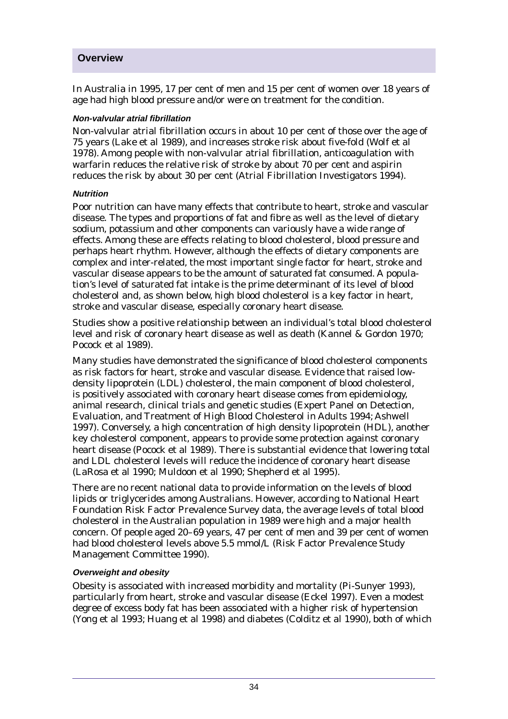In Australia in 1995, 17 per cent of men and 15 per cent of women over 18 years of age had high blood pressure and/or were on treatment for the condition.

#### **Non-valvular atrial fibrillation**

Non-valvular atrial fibrillation occurs in about 10 per cent of those over the age of 75 years (Lake et al 1989), and increases stroke risk about five-fold (Wolf et al 1978). Among people with non-valvular atrial fibrillation, anticoagulation with warfarin reduces the relative risk of stroke by about 70 per cent and aspirin reduces the risk by about 30 per cent (Atrial Fibrillation Investigators 1994).

#### **Nutrition**

Poor nutrition can have many effects that contribute to heart, stroke and vascular disease. The types and proportions of fat and fibre as well as the level of dietary sodium, potassium and other components can variously have a wide range of effects. Among these are effects relating to blood cholesterol, blood pressure and perhaps heart rhythm. However, although the effects of dietary components are complex and inter-related, the most important single factor for heart, stroke and vascular disease appears to be the amount of saturated fat consumed. A population's level of saturated fat intake is the prime determinant of its level of blood cholesterol and, as shown below, high blood cholesterol is a key factor in heart, stroke and vascular disease, especially coronary heart disease.

Studies show a positive relationship between an individual's total blood cholesterol level and risk of coronary heart disease as well as death (Kannel & Gordon 1970; Pocock et al 1989).

Many studies have demonstrated the significance of blood cholesterol components as risk factors for heart, stroke and vascular disease. Evidence that raised lowdensity lipoprotein (LDL) cholesterol, the main component of blood cholesterol, is positively associated with coronary heart disease comes from epidemiology, animal research, clinical trials and genetic studies (Expert Panel on Detection, Evaluation, and Treatment of High Blood Cholesterol in Adults 1994; Ashwell 1997). Conversely, a high concentration of high density lipoprotein (HDL), another key cholesterol component, appears to provide some protection against coronary heart disease (Pocock et al 1989). There is substantial evidence that lowering total and LDL cholesterol levels will reduce the incidence of coronary heart disease (LaRosa et al 1990; Muldoon et al 1990; Shepherd et al 1995).

There are no recent national data to provide information on the levels of blood lipids or triglycerides among Australians. However, according to National Heart Foundation Risk Factor Prevalence Survey data, the average levels of total blood cholesterol in the Australian population in 1989 were high and a major health concern. Of people aged 20–69 years, 47 per cent of men and 39 per cent of women had blood cholesterol levels above 5.5 mmol/L (Risk Factor Prevalence Study Management Committee 1990).

#### **Overweight and obesity**

Obesity is associated with increased morbidity and mortality (Pi-Sunyer 1993), particularly from heart, stroke and vascular disease (Eckel 1997). Even a modest degree of excess body fat has been associated with a higher risk of hypertension (Yong et al 1993; Huang et al 1998) and diabetes (Colditz et al 1990), both of which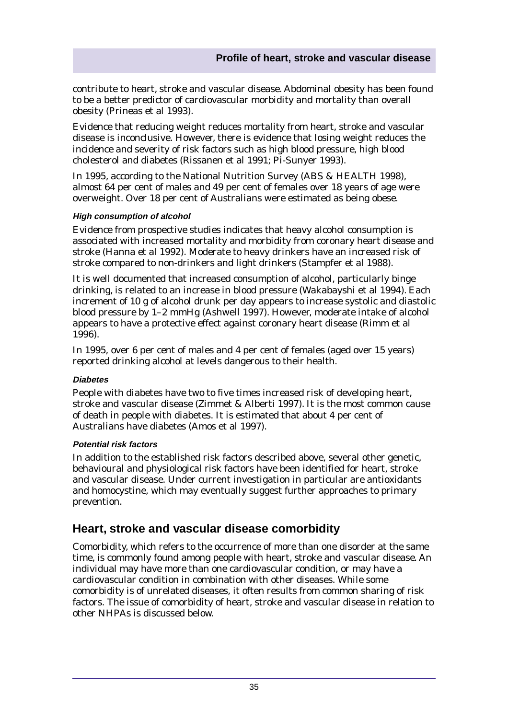contribute to heart, stroke and vascular disease. Abdominal obesity has been found to be a better predictor of cardiovascular morbidity and mortality than overall obesity (Prineas et al 1993).

Evidence that reducing weight reduces mortality from heart, stroke and vascular disease is inconclusive. However, there is evidence that losing weight reduces the incidence and severity of risk factors such as high blood pressure, high blood cholesterol and diabetes (Rissanen et al 1991; Pi-Sunyer 1993).

In 1995, according to the National Nutrition Survey (ABS & HEALTH 1998), almost 64 per cent of males and 49 per cent of females over 18 years of age were overweight. Over 18 per cent of Australians were estimated as being obese.

#### **High consumption of alcohol**

Evidence from prospective studies indicates that heavy alcohol consumption is associated with increased mortality and morbidity from coronary heart disease and stroke (Hanna et al 1992). Moderate to heavy drinkers have an increased risk of stroke compared to non-drinkers and light drinkers (Stampfer et al 1988).

It is well documented that increased consumption of alcohol, particularly binge drinking, is related to an increase in blood pressure (Wakabayshi et al 1994). Each increment of 10 g of alcohol drunk per day appears to increase systolic and diastolic blood pressure by 1–2 mmHg (Ashwell 1997). However, moderate intake of alcohol appears to have a protective effect against coronary heart disease (Rimm et al 1996).

In 1995, over 6 per cent of males and 4 per cent of females (aged over 15 years) reported drinking alcohol at levels dangerous to their health.

#### **Diabetes**

People with diabetes have two to five times increased risk of developing heart, stroke and vascular disease (Zimmet & Alberti 1997). It is the most common cause of death in people with diabetes. It is estimated that about 4 per cent of Australians have diabetes (Amos et al 1997).

#### **Potential risk factors**

In addition to the established risk factors described above, several other genetic, behavioural and physiological risk factors have been identified for heart, stroke and vascular disease. Under current investigation in particular are antioxidants and homocystine, which may eventually suggest further approaches to primary prevention.

## **Heart, stroke and vascular disease comorbidity**

Comorbidity, which refers to the occurrence of more than one disorder at the same time, is commonly found among people with heart, stroke and vascular disease. An individual may have more than one cardiovascular condition, or may have a cardiovascular condition in combination with other diseases. While some comorbidity is of unrelated diseases, it often results from common sharing of risk factors. The issue of comorbidity of heart, stroke and vascular disease in relation to other NHPAs is discussed below.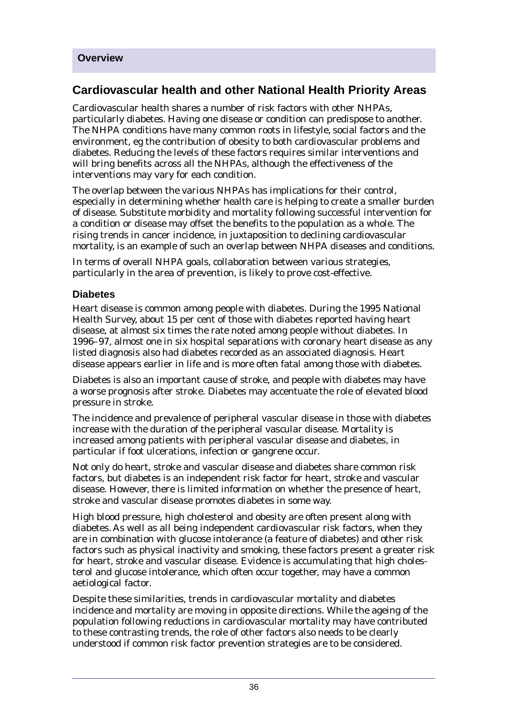# **Cardiovascular health and other National Health Priority Areas**

Cardiovascular health shares a number of risk factors with other NHPAs, particularly diabetes. Having one disease or condition can predispose to another. The NHPA conditions have many common roots in lifestyle, social factors and the environment, eg the contribution of obesity to both cardiovascular problems and diabetes. Reducing the levels of these factors requires similar interventions and will bring benefits across all the NHPAs, although the effectiveness of the interventions may vary for each condition.

The overlap between the various NHPAs has implications for their control, especially in determining whether health care is helping to create a smaller burden of disease. Substitute morbidity and mortality following successful intervention for a condition or disease may offset the benefits to the population as a whole. The rising trends in cancer incidence, in juxtaposition to declining cardiovascular mortality, is an example of such an overlap between NHPA diseases and conditions.

In terms of overall NHPA goals, collaboration between various strategies, particularly in the area of prevention, is likely to prove cost-effective.

#### **Diabetes**

Heart disease is common among people with diabetes. During the 1995 National Health Survey, about 15 per cent of those with diabetes reported having heart disease, at almost six times the rate noted among people without diabetes. In 1996–97, almost one in six hospital separations with coronary heart disease as any listed diagnosis also had diabetes recorded as an associated diagnosis. Heart disease appears earlier in life and is more often fatal among those with diabetes.

Diabetes is also an important cause of stroke, and people with diabetes may have a worse prognosis after stroke. Diabetes may accentuate the role of elevated blood pressure in stroke.

The incidence and prevalence of peripheral vascular disease in those with diabetes increase with the duration of the peripheral vascular disease. Mortality is increased among patients with peripheral vascular disease and diabetes, in particular if foot ulcerations, infection or gangrene occur.

Not only do heart, stroke and vascular disease and diabetes share common risk factors, but diabetes is an independent risk factor for heart, stroke and vascular disease. However, there is limited information on whether the presence of heart, stroke and vascular disease promotes diabetes in some way.

High blood pressure, high cholesterol and obesity are often present along with diabetes. As well as all being independent cardiovascular risk factors, when they are in combination with glucose intolerance (a feature of diabetes) and other risk factors such as physical inactivity and smoking, these factors present a greater risk for heart, stroke and vascular disease. Evidence is accumulating that high cholesterol and glucose intolerance, which often occur together, may have a common aetiological factor.

Despite these similarities, trends in cardiovascular mortality and diabetes incidence and mortality are moving in opposite directions. While the ageing of the population following reductions in cardiovascular mortality may have contributed to these contrasting trends, the role of other factors also needs to be clearly understood if common risk factor prevention strategies are to be considered.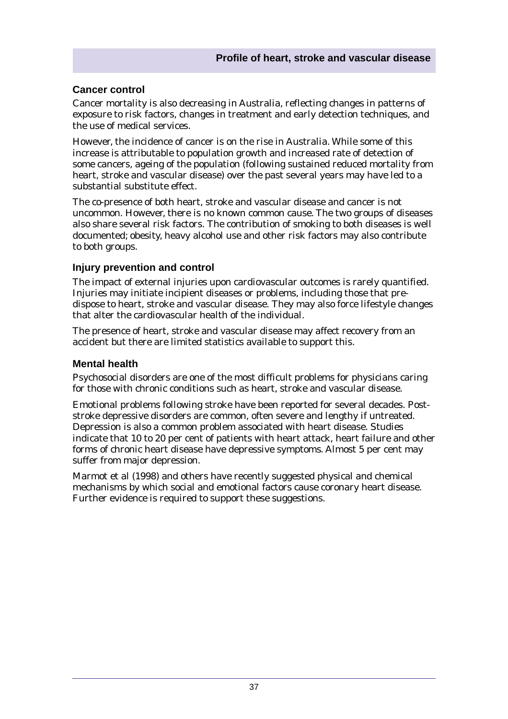#### **Cancer control**

Cancer mortality is also decreasing in Australia, reflecting changes in patterns of exposure to risk factors, changes in treatment and early detection techniques, and the use of medical services.

However, the incidence of cancer is on the rise in Australia. While some of this increase is attributable to population growth and increased rate of detection of some cancers, ageing of the population (following sustained reduced mortality from heart, stroke and vascular disease) over the past several years may have led to a substantial substitute effect.

The co-presence of both heart, stroke and vascular disease and cancer is not uncommon. However, there is no known common cause. The two groups of diseases also share several risk factors. The contribution of smoking to both diseases is well documented; obesity, heavy alcohol use and other risk factors may also contribute to both groups.

#### **Injury prevention and control**

The impact of external injuries upon cardiovascular outcomes is rarely quantified. Injuries may initiate incipient diseases or problems, including those that predispose to heart, stroke and vascular disease. They may also force lifestyle changes that alter the cardiovascular health of the individual.

The presence of heart, stroke and vascular disease may affect recovery from an accident but there are limited statistics available to support this.

#### **Mental health**

Psychosocial disorders are one of the most difficult problems for physicians caring for those with chronic conditions such as heart, stroke and vascular disease.

Emotional problems following stroke have been reported for several decades. Poststroke depressive disorders are common, often severe and lengthy if untreated. Depression is also a common problem associated with heart disease. Studies indicate that 10 to 20 per cent of patients with heart attack, heart failure and other forms of chronic heart disease have depressive symptoms. Almost 5 per cent may suffer from major depression.

Marmot et al (1998) and others have recently suggested physical and chemical mechanisms by which social and emotional factors cause coronary heart disease. Further evidence is required to support these suggestions.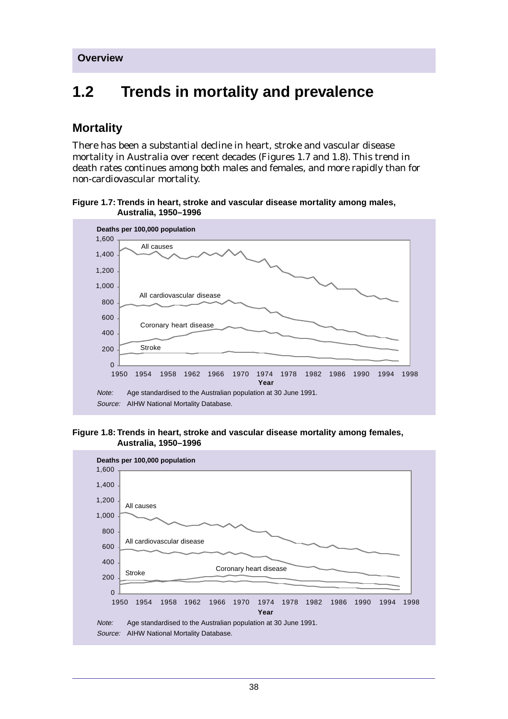# **1.2 Trends in mortality and prevalence**

# **Mortality**

There has been a substantial decline in heart, stroke and vascular disease mortality in Australia over recent decades (Figures 1.7 and 1.8). This trend in death rates continues among both males and females, and more rapidly than for non-cardiovascular mortality.

**Figure 1.7: Trends in heart, stroke and vascular disease mortality among males, Australia, 1950–1996**



**Figure 1.8: Trends in heart, stroke and vascular disease mortality among females, Australia, 1950–1996**

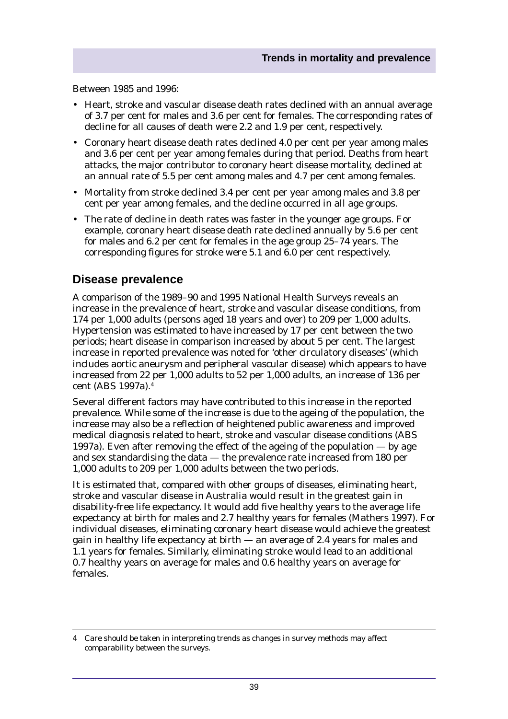Between 1985 and 1996:

- Heart, stroke and vascular disease death rates declined with an annual average of 3.7 per cent for males and 3.6 per cent for females. The corresponding rates of decline for all causes of death were 2.2 and 1.9 per cent, respectively.
- Coronary heart disease death rates declined 4.0 per cent per year among males and 3.6 per cent per year among females during that period. Deaths from heart attacks, the major contributor to coronary heart disease mortality, declined at an annual rate of 5.5 per cent among males and 4.7 per cent among females.
- Mortality from stroke declined 3.4 per cent per year among males and 3.8 per cent per year among females, and the decline occurred in all age groups.
- The rate of decline in death rates was faster in the younger age groups. For example, coronary heart disease death rate declined annually by 5.6 per cent for males and 6.2 per cent for females in the age group 25–74 years. The corresponding figures for stroke were 5.1 and 6.0 per cent respectively.

### **Disease prevalence**

A comparison of the 1989–90 and 1995 National Health Surveys reveals an increase in the prevalence of heart, stroke and vascular disease conditions, from 174 per 1,000 adults (persons aged 18 years and over) to 209 per 1,000 adults. Hypertension was estimated to have increased by 17 per cent between the two periods; heart disease in comparison increased by about 5 per cent. The largest increase in reported prevalence was noted for 'other circulatory diseases' (which includes aortic aneurysm and peripheral vascular disease) which appears to have increased from 22 per 1,000 adults to 52 per 1,000 adults, an increase of 136 per cent (ABS 1997a).4

Several different factors may have contributed to this increase in the reported prevalence. While some of the increase is due to the ageing of the population, the increase may also be a reflection of heightened public awareness and improved medical diagnosis related to heart, stroke and vascular disease conditions (ABS 1997a). Even after removing the effect of the ageing of the population — by age and sex standardising the data — the prevalence rate increased from 180 per 1,000 adults to 209 per 1,000 adults between the two periods.

It is estimated that, compared with other groups of diseases, eliminating heart, stroke and vascular disease in Australia would result in the greatest gain in disability-free life expectancy. It would add five healthy years to the average life expectancy at birth for males and 2.7 healthy years for females (Mathers 1997). For individual diseases, eliminating coronary heart disease would achieve the greatest gain in healthy life expectancy at birth — an average of 2.4 years for males and 1.1 years for females. Similarly, eliminating stroke would lead to an additional 0.7 healthy years on average for males and 0.6 healthy years on average for females.

<sup>4</sup> Care should be taken in interpreting trends as changes in survey methods may affect comparability between the surveys.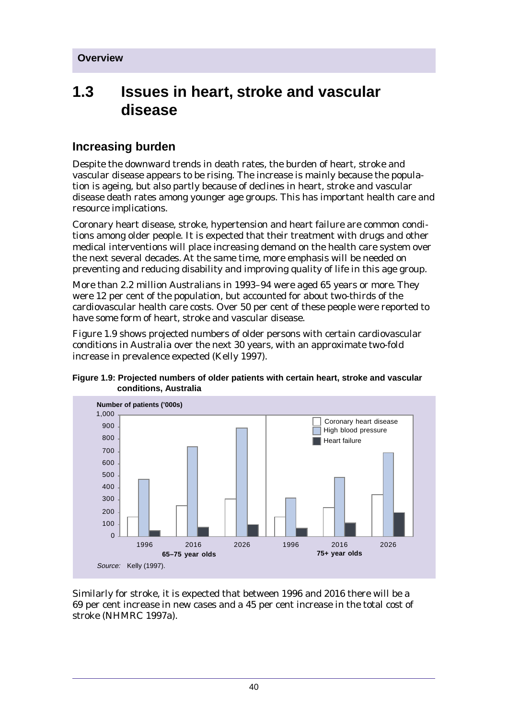# **1.3 Issues in heart, stroke and vascular disease**

# **Increasing burden**

Despite the downward trends in death rates, the burden of heart, stroke and vascular disease appears to be rising. The increase is mainly because the population is ageing, but also partly because of declines in heart, stroke and vascular disease death rates among younger age groups. This has important health care and resource implications.

Coronary heart disease, stroke, hypertension and heart failure are common conditions among older people. It is expected that their treatment with drugs and other medical interventions will place increasing demand on the health care system over the next several decades. At the same time, more emphasis will be needed on preventing and reducing disability and improving quality of life in this age group.

More than 2.2 million Australians in 1993–94 were aged 65 years or more. They were 12 per cent of the population, but accounted for about two-thirds of the cardiovascular health care costs. Over 50 per cent of these people were reported to have some form of heart, stroke and vascular disease.

Figure 1.9 shows projected numbers of older persons with certain cardiovascular conditions in Australia over the next 30 years, with an approximate two-fold increase in prevalence expected (Kelly 1997).

**Figure 1.9: Projected numbers of older patients with certain heart, stroke and vascular conditions, Australia**



Similarly for stroke, it is expected that between 1996 and 2016 there will be a 69 per cent increase in new cases and a 45 per cent increase in the total cost of stroke (NHMRC 1997a).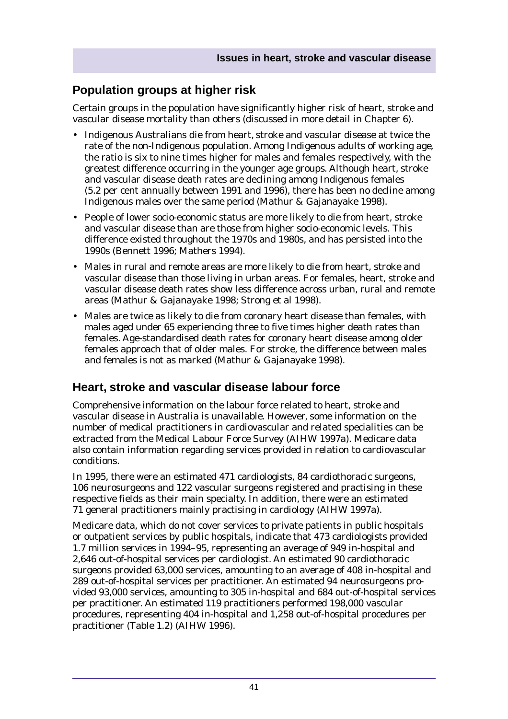# **Population groups at higher risk**

Certain groups in the population have significantly higher risk of heart, stroke and vascular disease mortality than others (discussed in more detail in Chapter 6).

- Indigenous Australians die from heart, stroke and vascular disease at twice the rate of the non-Indigenous population. Among Indigenous adults of working age, the ratio is six to nine times higher for males and females respectively, with the greatest difference occurring in the younger age groups. Although heart, stroke and vascular disease death rates are declining among Indigenous females (5.2 per cent annually between 1991 and 1996), there has been no decline among Indigenous males over the same period (Mathur & Gajanayake 1998).
- People of lower socio-economic status are more likely to die from heart, stroke and vascular disease than are those from higher socio-economic levels. This difference existed throughout the 1970s and 1980s, and has persisted into the 1990s (Bennett 1996; Mathers 1994).
- Males in rural and remote areas are more likely to die from heart, stroke and vascular disease than those living in urban areas. For females, heart, stroke and vascular disease death rates show less difference across urban, rural and remote areas (Mathur & Gajanayake 1998; Strong et al 1998).
- Males are twice as likely to die from coronary heart disease than females, with males aged under 65 experiencing three to five times higher death rates than females. Age-standardised death rates for coronary heart disease among older females approach that of older males. For stroke, the difference between males and females is not as marked (Mathur & Gajanayake 1998).

# **Heart, stroke and vascular disease labour force**

Comprehensive information on the labour force related to heart, stroke and vascular disease in Australia is unavailable. However, some information on the number of medical practitioners in cardiovascular and related specialities can be extracted from the Medical Labour Force Survey (AIHW 1997a). Medicare data also contain information regarding services provided in relation to cardiovascular conditions.

In 1995, there were an estimated 471 cardiologists, 84 cardiothoracic surgeons, 106 neurosurgeons and 122 vascular surgeons registered and practising in these respective fields as their main specialty. In addition, there were an estimated 71 general practitioners mainly practising in cardiology (AIHW 1997a).

Medicare data, which do not cover services to private patients in public hospitals or outpatient services by public hospitals, indicate that 473 cardiologists provided 1.7 million services in 1994–95, representing an average of 949 in-hospital and 2,646 out-of-hospital services per cardiologist. An estimated 90 cardiothoracic surgeons provided 63,000 services, amounting to an average of 408 in-hospital and 289 out-of-hospital services per practitioner. An estimated 94 neurosurgeons provided 93,000 services, amounting to 305 in-hospital and 684 out-of-hospital services per practitioner. An estimated 119 practitioners performed 198,000 vascular procedures, representing 404 in-hospital and 1,258 out-of-hospital procedures per practitioner (Table 1.2) (AIHW 1996).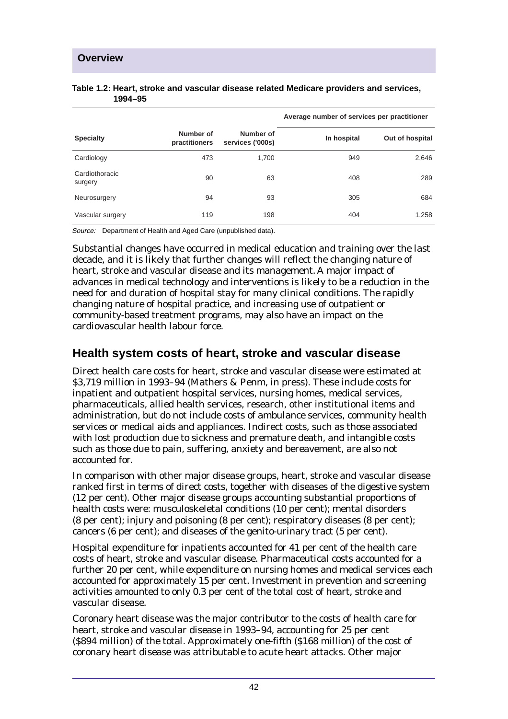|                           |                            |                               | Average number of services per practitioner |                 |
|---------------------------|----------------------------|-------------------------------|---------------------------------------------|-----------------|
| <b>Specialty</b>          | Number of<br>practitioners | Number of<br>services ('000s) | In hospital                                 | Out of hospital |
| Cardiology                | 473                        | 1.700                         | 949                                         | 2,646           |
| Cardiothoracic<br>surgery | 90                         | 63                            | 408                                         | 289             |
| Neurosurgery              | 94                         | 93                            | 305                                         | 684             |
| Vascular surgery          | 119                        | 198                           | 404                                         | 1,258           |

#### **Table 1.2: Heart, stroke and vascular disease related Medicare providers and services, 1994–95**

Source: Department of Health and Aged Care (unpublished data).

Substantial changes have occurred in medical education and training over the last decade, and it is likely that further changes will reflect the changing nature of heart, stroke and vascular disease and its management. A major impact of advances in medical technology and interventions is likely to be a reduction in the need for and duration of hospital stay for many clinical conditions. The rapidly changing nature of hospital practice, and increasing use of outpatient or community-based treatment programs, may also have an impact on the cardiovascular health labour force.

# **Health system costs of heart, stroke and vascular disease**

Direct health care costs for heart, stroke and vascular disease were estimated at \$3,719 million in 1993–94 (Mathers & Penm, in press). These include costs for inpatient and outpatient hospital services, nursing homes, medical services, pharmaceuticals, allied health services, research, other institutional items and administration, but do not include costs of ambulance services, community health services or medical aids and appliances. Indirect costs, such as those associated with lost production due to sickness and premature death, and intangible costs such as those due to pain, suffering, anxiety and bereavement, are also not accounted for.

In comparison with other major disease groups, heart, stroke and vascular disease ranked first in terms of direct costs, together with diseases of the digestive system (12 per cent). Other major disease groups accounting substantial proportions of health costs were: musculoskeletal conditions (10 per cent); mental disorders (8 per cent); injury and poisoning (8 per cent); respiratory diseases (8 per cent); cancers (6 per cent); and diseases of the genito-urinary tract (5 per cent).

Hospital expenditure for inpatients accounted for 41 per cent of the health care costs of heart, stroke and vascular disease. Pharmaceutical costs accounted for a further 20 per cent, while expenditure on nursing homes and medical services each accounted for approximately 15 per cent. Investment in prevention and screening activities amounted to only 0.3 per cent of the total cost of heart, stroke and vascular disease.

Coronary heart disease was the major contributor to the costs of health care for heart, stroke and vascular disease in 1993–94, accounting for 25 per cent (\$894 million) of the total. Approximately one-fifth (\$168 million) of the cost of coronary heart disease was attributable to acute heart attacks. Other major